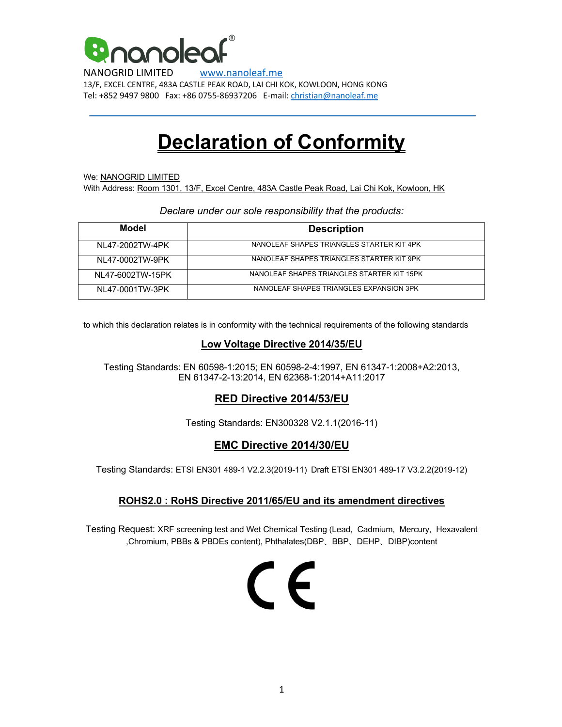

NANOGRID LIMITED www.nanoleaf.me 13/F, EXCEL CENTRE, 483A CASTLE PEAK ROAD, LAI CHI KOK, KOWLOON, HONG KONG Tel: +852 9497 9800 Fax: +86 0755-86937206 E-mail: christian@nanoleaf.me

# **Declaration of Conformity**

We: NANOGRID LIMITED With Address: Room 1301, 13/F, Excel Centre, 483A Castle Peak Road, Lai Chi Kok, Kowloon, HK

#### *Declare under our sole responsibility that the products:*

| Model            | <b>Description</b>                         |
|------------------|--------------------------------------------|
| NL47-2002TW-4PK  | NANOLEAF SHAPES TRIANGLES STARTER KIT 4PK  |
| NL47-0002TW-9PK  | NANOL FAF SHAPES TRIANGLES STARTER KIT 9PK |
| NL47-6002TW-15PK | NANOLEAF SHAPES TRIANGLES STARTER KIT 15PK |
| NL47-0001TW-3PK  | NANOLEAF SHAPES TRIANGLES EXPANSION 3PK    |

to which this declaration relates is in conformity with the technical requirements of the following standards

### **Low Voltage Directive 2014/35/EU**

Testing Standards: EN 60598-1:2015; EN 60598-2-4:1997, EN 61347-1:2008+A2:2013, EN 61347-2-13:2014, EN 62368-1:2014+A11:2017

## **RED Directive 2014/53/EU**

Testing Standards: EN300328 V2.1.1(2016-11)

## **EMC Directive 2014/30/EU**

Testing Standards: ETSI EN301 489-1 V2.2.3(2019-11) Draft ETSI EN301 489-17 V3.2.2(2019-12)

#### **ROHS2.0 : RoHS Directive 2011/65/EU and its amendment directives**

Testing Request: XRF screening test and Wet Chemical Testing (Lead, Cadmium, Mercury, Hexavalent ,Chromium, PBBs & PBDEs content), Phthalates(DBP、BBP、DEHP、DIBP)content